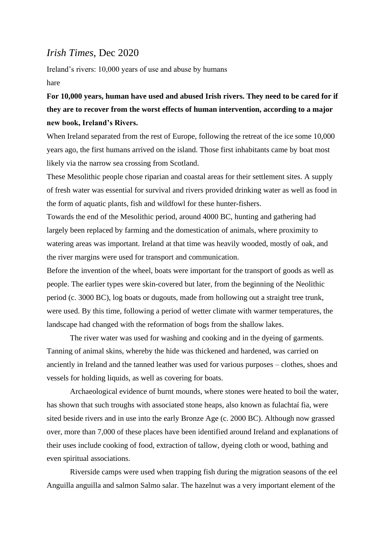## *Irish Times*, Dec 2020

Ireland's rivers: 10,000 years of use and abuse by humans hare

## **For 10,000 years, human have used and abused Irish rivers. They need to be cared for if they are to recover from the worst effects of human intervention, according to a major new book, Ireland's Rivers.**

When Ireland separated from the rest of Europe, following the retreat of the ice some 10,000 years ago, the first humans arrived on the island. Those first inhabitants came by boat most likely via the narrow sea crossing from Scotland.

These Mesolithic people chose riparian and coastal areas for their settlement sites. A supply of fresh water was essential for survival and rivers provided drinking water as well as food in the form of aquatic plants, fish and wildfowl for these hunter-fishers.

Towards the end of the Mesolithic period, around 4000 BC, hunting and gathering had largely been replaced by farming and the domestication of animals, where proximity to watering areas was important. Ireland at that time was heavily wooded, mostly of oak, and the river margins were used for transport and communication.

Before the invention of the wheel, boats were important for the transport of goods as well as people. The earlier types were skin-covered but later, from the beginning of the Neolithic period (c. 3000 BC), log boats or dugouts, made from hollowing out a straight tree trunk, were used. By this time, following a period of wetter climate with warmer temperatures, the landscape had changed with the reformation of bogs from the shallow lakes.

The river water was used for washing and cooking and in the dyeing of garments. Tanning of animal skins, whereby the hide was thickened and hardened, was carried on anciently in Ireland and the tanned leather was used for various purposes – clothes, shoes and vessels for holding liquids, as well as covering for boats.

Archaeological evidence of burnt mounds, where stones were heated to boil the water, has shown that such troughs with associated stone heaps, also known as fulachtaí fia, were sited beside rivers and in use into the early Bronze Age (c. 2000 BC). Although now grassed over, more than 7,000 of these places have been identified around Ireland and explanations of their uses include cooking of food, extraction of tallow, dyeing cloth or wood, bathing and even spiritual associations.

Riverside camps were used when trapping fish during the migration seasons of the eel Anguilla anguilla and salmon Salmo salar. The hazelnut was a very important element of the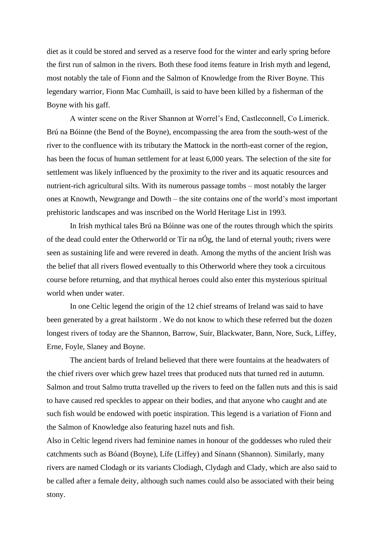diet as it could be stored and served as a reserve food for the winter and early spring before the first run of salmon in the rivers. Both these food items feature in Irish myth and legend, most notably the tale of Fionn and the Salmon of Knowledge from the River Boyne. This legendary warrior, Fionn Mac Cumhaill, is said to have been killed by a fisherman of the Boyne with his gaff.

A winter scene on the River Shannon at Worrel's End, Castleconnell, Co Limerick. Brú na Bóinne (the Bend of the Boyne), encompassing the area from the south-west of the river to the confluence with its tributary the Mattock in the north-east corner of the region, has been the focus of human settlement for at least 6,000 years. The selection of the site for settlement was likely influenced by the proximity to the river and its aquatic resources and nutrient-rich agricultural silts. With its numerous passage tombs – most notably the larger ones at Knowth, Newgrange and Dowth – the site contains one of the world's most important prehistoric landscapes and was inscribed on the World Heritage List in 1993.

In Irish mythical tales Brú na Bóinne was one of the routes through which the spirits of the dead could enter the Otherworld or Tír na nÓg, the land of eternal youth; rivers were seen as sustaining life and were revered in death. Among the myths of the ancient Irish was the belief that all rivers flowed eventually to this Otherworld where they took a circuitous course before returning, and that mythical heroes could also enter this mysterious spiritual world when under water.

In one Celtic legend the origin of the 12 chief streams of Ireland was said to have been generated by a great hailstorm . We do not know to which these referred but the dozen longest rivers of today are the Shannon, Barrow, Suir, Blackwater, Bann, Nore, Suck, Liffey, Erne, Foyle, Slaney and Boyne.

The ancient bards of Ireland believed that there were fountains at the headwaters of the chief rivers over which grew hazel trees that produced nuts that turned red in autumn. Salmon and trout Salmo trutta travelled up the rivers to feed on the fallen nuts and this is said to have caused red speckles to appear on their bodies, and that anyone who caught and ate such fish would be endowed with poetic inspiration. This legend is a variation of Fionn and the Salmon of Knowledge also featuring hazel nuts and fish.

Also in Celtic legend rivers had feminine names in honour of the goddesses who ruled their catchments such as Bóand (Boyne), Lífe (Liffey) and Sínann (Shannon). Similarly, many rivers are named Clodagh or its variants Clodiagh, Clydagh and Clady, which are also said to be called after a female deity, although such names could also be associated with their being stony.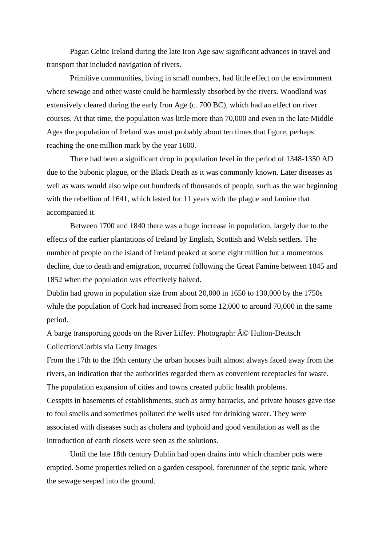Pagan Celtic Ireland during the late Iron Age saw significant advances in travel and transport that included navigation of rivers.

Primitive communities, living in small numbers, had little effect on the environment where sewage and other waste could be harmlessly absorbed by the rivers. Woodland was extensively cleared during the early Iron Age (c. 700 BC), which had an effect on river courses. At that time, the population was little more than 70,000 and even in the late Middle Ages the population of Ireland was most probably about ten times that figure, perhaps reaching the one million mark by the year 1600.

There had been a significant drop in population level in the period of 1348-1350 AD due to the bubonic plague, or the Black Death as it was commonly known. Later diseases as well as wars would also wipe out hundreds of thousands of people, such as the war beginning with the rebellion of 1641, which lasted for 11 years with the plague and famine that accompanied it.

Between 1700 and 1840 there was a huge increase in population, largely due to the effects of the earlier plantations of Ireland by English, Scottish and Welsh settlers. The number of people on the island of Ireland peaked at some eight million but a momentous decline, due to death and emigration, occurred following the Great Famine between 1845 and 1852 when the population was effectively halved.

Dublin had grown in population size from about 20,000 in 1650 to 130,000 by the 1750s while the population of Cork had increased from some 12,000 to around 70,000 in the same period.

A barge transporting goods on the River Liffey. Photograph:  $\hat{A} \odot$  Hulton-Deutsch Collection/Corbis via Getty Images

From the 17th to the 19th century the urban houses built almost always faced away from the rivers, an indication that the authorities regarded them as convenient receptacles for waste. The population expansion of cities and towns created public health problems.

Cesspits in basements of establishments, such as army barracks, and private houses gave rise to foul smells and sometimes polluted the wells used for drinking water. They were associated with diseases such as cholera and typhoid and good ventilation as well as the introduction of earth closets were seen as the solutions.

Until the late 18th century Dublin had open drains into which chamber pots were emptied. Some properties relied on a garden cesspool, forerunner of the septic tank, where the sewage seeped into the ground.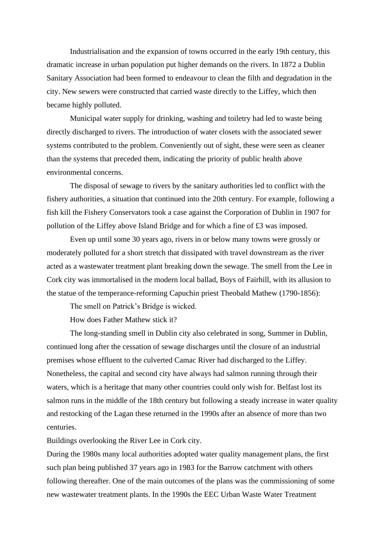Industrialisation and the expansion of towns occurred in the early 19th century, this dramatic increase in urban population put higher demands on the rivers. In 1872 a Dublin Sanitary Association had been formed to endeavour to clean the filth and degradation in the city. New sewers were constructed that carried waste directly to the Liffey, which then became highly polluted.

Municipal water supply for drinking, washing and toiletry had led to waste being directly discharged to rivers. The introduction of water closets with the associated sewer systems contributed to the problem. Conveniently out of sight, these were seen as cleaner than the systems that preceded them, indicating the priority of public health above environmental concerns.

The disposal of sewage to rivers by the sanitary authorities led to conflict with the fishery authorities, a situation that continued into the 20th century. For example, following a fish kill the Fishery Conservators took a case against the Corporation of Dublin in 1907 for pollution of the Liffey above Island Bridge and for which a fine of £3 was imposed.

Even up until some 30 years ago, rivers in or below many towns were grossly or moderately polluted for a short stretch that dissipated with travel downstream as the river acted as a wastewater treatment plant breaking down the sewage. The smell from the Lee in Cork city was immortalised in the modern local ballad, Boys of Fairhill, with its allusion to the statue of the temperance-reforming Capuchin priest Theobald Mathew (1790-1856):

The smell on Patrick's Bridge is wicked.

How does Father Mathew stick it?

The long-standing smell in Dublin city also celebrated in song, Summer in Dublin, continued long after the cessation of sewage discharges until the closure of an industrial premises whose effluent to the culverted Camac River had discharged to the Liffey. Nonetheless, the capital and second city have always had salmon running through their waters, which is a heritage that many other countries could only wish for. Belfast lost its salmon runs in the middle of the 18th century but following a steady increase in water quality and restocking of the Lagan these returned in the 1990s after an absence of more than two centuries.

Buildings overlooking the River Lee in Cork city.

During the 1980s many local authorities adopted water quality management plans, the first such plan being published 37 years ago in 1983 for the Barrow catchment with others following thereafter. One of the main outcomes of the plans was the commissioning of some new wastewater treatment plants. In the 1990s the EEC Urban Waste Water Treatment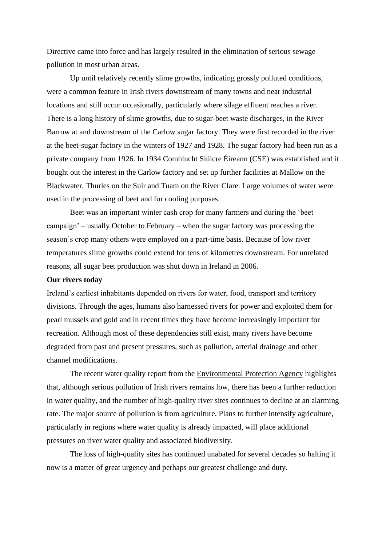Directive came into force and has largely resulted in the elimination of serious sewage pollution in most urban areas.

Up until relatively recently slime growths, indicating grossly polluted conditions, were a common feature in Irish rivers downstream of many towns and near industrial locations and still occur occasionally, particularly where silage effluent reaches a river. There is a long history of slime growths, due to sugar-beet waste discharges, in the River Barrow at and downstream of the Carlow sugar factory. They were first recorded in the river at the beet-sugar factory in the winters of 1927 and 1928. The sugar factory had been run as a private company from 1926. In 1934 Comhlucht Siúicre Éireann (CSE) was established and it bought out the interest in the Carlow factory and set up further facilities at Mallow on the Blackwater, Thurles on the Suir and Tuam on the River Clare. Large volumes of water were used in the processing of beet and for cooling purposes.

Beet was an important winter cash crop for many farmers and during the 'beet campaign' – usually October to February – when the sugar factory was processing the season's crop many others were employed on a part-time basis. Because of low river temperatures slime growths could extend for tens of kilometres downstream. For unrelated reasons, all sugar beet production was shut down in Ireland in 2006.

## **Our rivers today**

Ireland's earliest inhabitants depended on rivers for water, food, transport and territory divisions. Through the ages, humans also harnessed rivers for power and exploited them for pearl mussels and gold and in recent times they have become increasingly important for recreation. Although most of these dependencies still exist, many rivers have become degraded from past and present pressures, such as pollution, arterial drainage and other channel modifications.

The recent water quality report from the Environmental Protection Agency highlights that, although serious pollution of Irish rivers remains low, there has been a further reduction in water quality, and the number of high-quality river sites continues to decline at an alarming rate. The major source of pollution is from agriculture. Plans to further intensify agriculture, particularly in regions where water quality is already impacted, will place additional pressures on river water quality and associated biodiversity.

The loss of high-quality sites has continued unabated for several decades so halting it now is a matter of great urgency and perhaps our greatest challenge and duty.